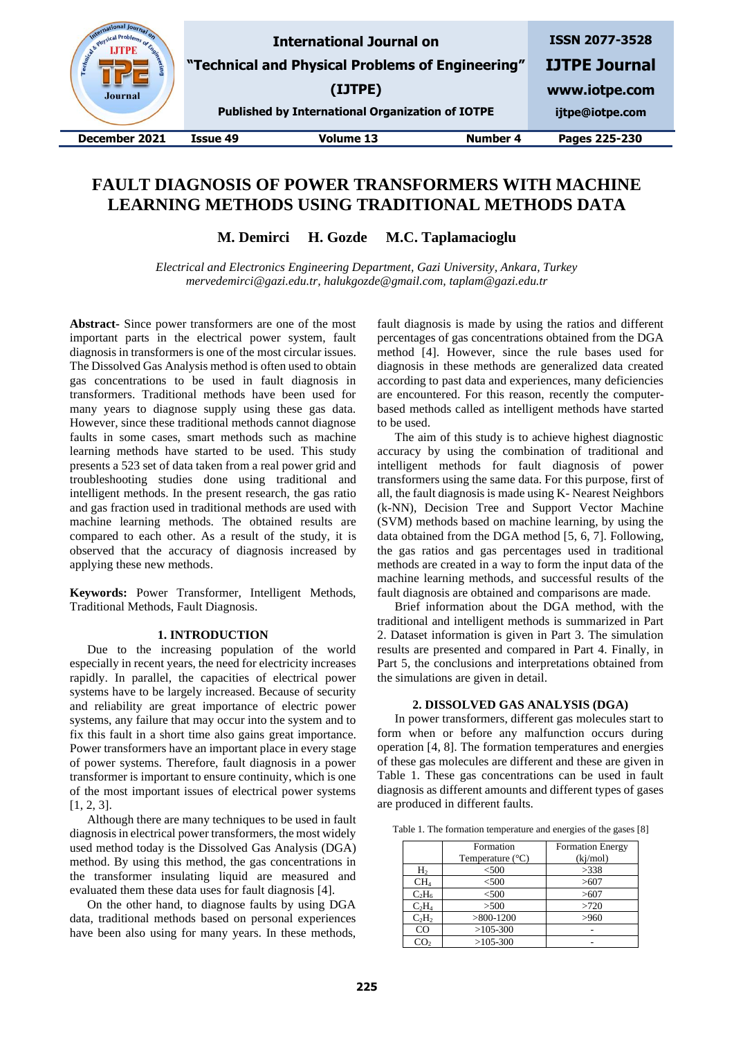| & Physical<br>Engineer C<br><b>Journal</b> |          | <b>International Journal on</b><br>"Technical and Physical Problems of Engineering"<br>(IJTPE)<br><b>Published by International Organization of IOTPE</b> |          | <b>ISSN 2077-3528</b><br><b>IJTPE Journal</b><br>www.iotpe.com<br>ijtpe@iotpe.com |
|--------------------------------------------|----------|-----------------------------------------------------------------------------------------------------------------------------------------------------------|----------|-----------------------------------------------------------------------------------|
| December 2021                              | Issue 49 | Volume 13                                                                                                                                                 | Number 4 | Pages 225-230                                                                     |
|                                            |          |                                                                                                                                                           |          |                                                                                   |

# **FAULT DIAGNOSIS OF POWER TRANSFORMERS WITH MACHINE LEARNING METHODS USING TRADITIONAL METHODS DATA**

**M. Demirci H. Gozde M.C. Taplamacioglu**

*Electrical and Electronics Engineering Department, Gazi University, Ankara, Turkey mervedemirci@gazi.edu.tr, halukgozde@gmail.com, taplam@gazi.edu.tr* 

**Abstract-** Since power transformers are one of the most important parts in the electrical power system, fault diagnosis in transformers is one of the most circular issues. The Dissolved Gas Analysis method is often used to obtain gas concentrations to be used in fault diagnosis in transformers. Traditional methods have been used for many years to diagnose supply using these gas data. However, since these traditional methods cannot diagnose faults in some cases, smart methods such as machine learning methods have started to be used. This study presents a 523 set of data taken from a real power grid and troubleshooting studies done using traditional and intelligent methods. In the present research, the gas ratio and gas fraction used in traditional methods are used with machine learning methods. The obtained results are compared to each other. As a result of the study, it is observed that the accuracy of diagnosis increased by applying these new methods.

**Keywords:** Power Transformer, Intelligent Methods, Traditional Methods, Fault Diagnosis.

# **1. INTRODUCTION**

Due to the increasing population of the world especially in recent years, the need for electricity increases rapidly. In parallel, the capacities of electrical power systems have to be largely increased. Because of security and reliability are great importance of electric power systems, any failure that may occur into the system and to fix this fault in a short time also gains great importance. Power transformers have an important place in every stage of power systems. Therefore, fault diagnosis in a power transformer is important to ensure continuity, which is one of the most important issues of electrical power systems [1, 2, 3].

Although there are many techniques to be used in fault diagnosis in electrical power transformers, the most widely used method today is the Dissolved Gas Analysis (DGA) method. By using this method, the gas concentrations in the transformer insulating liquid are measured and evaluated them these data uses for fault diagnosis [4].

On the other hand, to diagnose faults by using DGA data, traditional methods based on personal experiences have been also using for many years. In these methods,

fault diagnosis is made by using the ratios and different percentages of gas concentrations obtained from the DGA method [4]. However, since the rule bases used for diagnosis in these methods are generalized data created according to past data and experiences, many deficiencies are encountered. For this reason, recently the computerbased methods called as intelligent methods have started to be used.

The aim of this study is to achieve highest diagnostic accuracy by using the combination of traditional and intelligent methods for fault diagnosis of power transformers using the same data. For this purpose, first of all, the fault diagnosis is made using K- Nearest Neighbors (k-NN), Decision Tree and Support Vector Machine (SVM) methods based on machine learning, by using the data obtained from the DGA method [5, 6, 7]. Following, the gas ratios and gas percentages used in traditional methods are created in a way to form the input data of the machine learning methods, and successful results of the fault diagnosis are obtained and comparisons are made.

Brief information about the DGA method, with the traditional and intelligent methods is summarized in Part 2. Dataset information is given in Part 3. The simulation results are presented and compared in Part 4. Finally, in Part 5, the conclusions and interpretations obtained from the simulations are given in detail.

#### **2. DISSOLVED GAS ANALYSIS (DGA)**

In power transformers, different gas molecules start to form when or before any malfunction occurs during operation [4, 8]. The formation temperatures and energies of these gas molecules are different and these are given in Table 1. These gas concentrations can be used in fault diagnosis as different amounts and different types of gases are produced in different faults.

Table 1. The formation temperature and energies of the gases [8]

|                 | Formation<br>Temperature $(^{\circ}C)$ | <b>Formation Energy</b><br>(kj/mol) |
|-----------------|----------------------------------------|-------------------------------------|
| H <sub>2</sub>  | < 500                                  | >338                                |
| CH <sub>4</sub> | < 500                                  | >607                                |
| $C_2H_6$        | < 500                                  | >607                                |
| $C_2H_4$        | >500                                   | >720                                |
| $C_2H_2$        | $>800-1200$                            | >960                                |
| CO              | $>105-300$                             |                                     |
| CO.             | $>105-300$                             |                                     |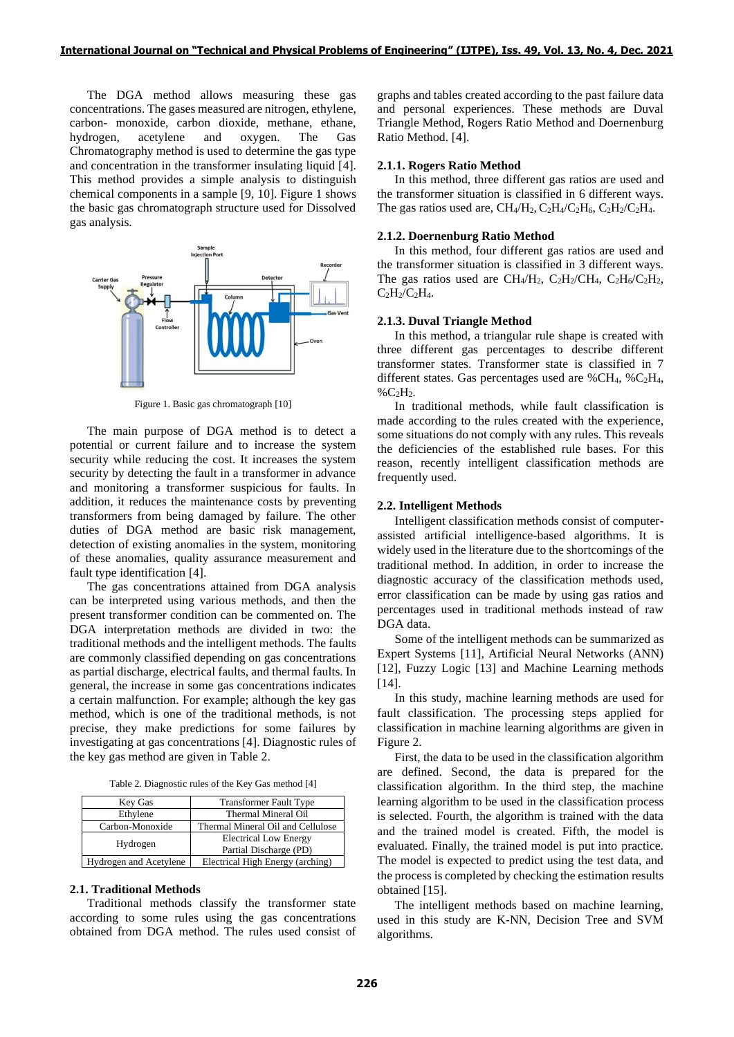The DGA method allows measuring these gas concentrations. The gases measured are nitrogen, ethylene, carbon- monoxide, carbon dioxide, methane, ethane, hydrogen, acetylene and oxygen. The Gas Chromatography method is used to determine the gas type and concentration in the transformer insulating liquid [4]. This method provides a simple analysis to distinguish chemical components in a sample [9, 10]. Figure 1 shows the basic gas chromatograph structure used for Dissolved gas analysis.



Figure 1. Basic gas chromatograph [10]

The main purpose of DGA method is to detect a potential or current failure and to increase the system security while reducing the cost. It increases the system security by detecting the fault in a transformer in advance and monitoring a transformer suspicious for faults. In addition, it reduces the maintenance costs by preventing transformers from being damaged by failure. The other duties of DGA method are basic risk management, detection of existing anomalies in the system, monitoring of these anomalies, quality assurance measurement and fault type identification [4].

The gas concentrations attained from DGA analysis can be interpreted using various methods, and then the present transformer condition can be commented on. The DGA interpretation methods are divided in two: the traditional methods and the intelligent methods. The faults are commonly classified depending on gas concentrations as partial discharge, electrical faults, and thermal faults. In general, the increase in some gas concentrations indicates a certain malfunction. For example; although the key gas method, which is one of the traditional methods, is not precise, they make predictions for some failures by investigating at gas concentrations [4]. Diagnostic rules of the key gas method are given in Table 2.

| Table 2. Diagnostic rules of the Key Gas method [4] |  |  |
|-----------------------------------------------------|--|--|
|-----------------------------------------------------|--|--|

| Key Gas                | <b>Transformer Fault Type</b>                          |
|------------------------|--------------------------------------------------------|
| Ethylene               | Thermal Mineral Oil                                    |
| Carbon-Monoxide        | Thermal Mineral Oil and Cellulose                      |
| Hydrogen               | <b>Electrical Low Energy</b><br>Partial Discharge (PD) |
| Hydrogen and Acetylene | Electrical High Energy (arching)                       |

#### **2.1. Traditional Methods**

Traditional methods classify the transformer state according to some rules using the gas concentrations obtained from DGA method. The rules used consist of graphs and tables created according to the past failure data and personal experiences. These methods are Duval Triangle Method, Rogers Ratio Method and Doernenburg Ratio Method. [4].

#### **2.1.1. Rogers Ratio Method**

In this method, three different gas ratios are used and the transformer situation is classified in 6 different ways. The gas ratios used are,  $CH_4/H_2$ ,  $C_2H_4/C_2H_6$ ,  $C_2H_2/C_2H_4$ .

#### **2.1.2. Doernenburg Ratio Method**

In this method, four different gas ratios are used and the transformer situation is classified in 3 different ways. The gas ratios used are CH<sub>4</sub>/H<sub>2</sub>, C<sub>2</sub>H<sub>2</sub>/CH<sub>4</sub>, C<sub>2</sub>H<sub>6</sub>/C<sub>2</sub>H<sub>2</sub>,  $C_2H_2/C_2H_4$ .

#### **2.1.3. Duval Triangle Method**

In this method, a triangular rule shape is created with three different gas percentages to describe different transformer states. Transformer state is classified in 7 different states. Gas percentages used are %CH4, %C2H4,  $\%C_2H_2$ .

In traditional methods, while fault classification is made according to the rules created with the experience, some situations do not comply with any rules. This reveals the deficiencies of the established rule bases. For this reason, recently intelligent classification methods are frequently used.

# **2.2. Intelligent Methods**

Intelligent classification methods consist of computerassisted artificial intelligence-based algorithms. It is widely used in the literature due to the shortcomings of the traditional method. In addition, in order to increase the diagnostic accuracy of the classification methods used, error classification can be made by using gas ratios and percentages used in traditional methods instead of raw DGA data.

Some of the intelligent methods can be summarized as Expert Systems [11], Artificial Neural Networks (ANN) [12], Fuzzy Logic [13] and Machine Learning methods [14].

In this study, machine learning methods are used for fault classification. The processing steps applied for classification in machine learning algorithms are given in Figure 2.

First, the data to be used in the classification algorithm are defined. Second, the data is prepared for the classification algorithm. In the third step, the machine learning algorithm to be used in the classification process is selected. Fourth, the algorithm is trained with the data and the trained model is created. Fifth, the model is evaluated. Finally, the trained model is put into practice. The model is expected to predict using the test data, and the process is completed by checking the estimation results obtained [15].

The intelligent methods based on machine learning, used in this study are K-NN, Decision Tree and SVM algorithms.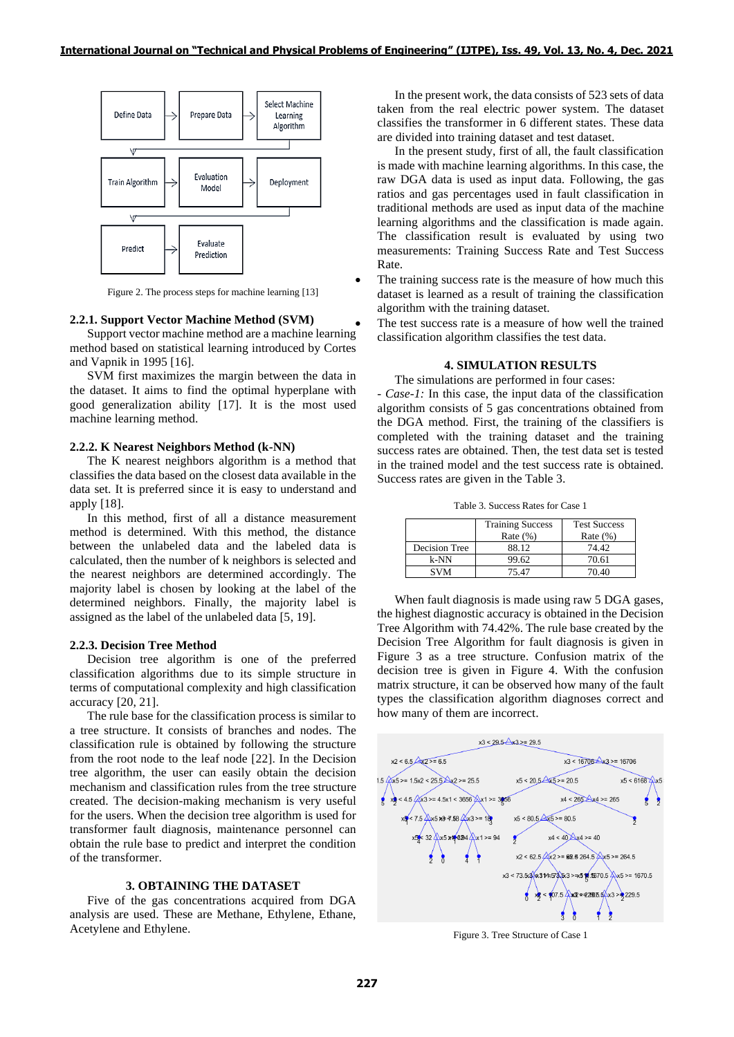

Figure 2. The process steps for machine learning [13]

#### **2.2.1. Support Vector Machine Method (SVM)**

Support vector machine method are a machine learning method based on statistical learning introduced by Cortes and Vapnik in 1995 [16].

SVM first maximizes the margin between the data in the dataset. It aims to find the optimal hyperplane with good generalization ability [17]. It is the most used machine learning method.

#### **2.2.2. K Nearest Neighbors Method (k-NN)**

The K nearest neighbors algorithm is a method that classifies the data based on the closest data available in the data set. It is preferred since it is easy to understand and apply [18].

In this method, first of all a distance measurement method is determined. With this method, the distance between the unlabeled data and the labeled data is calculated, then the number of k neighbors is selected and the nearest neighbors are determined accordingly. The majority label is chosen by looking at the label of the determined neighbors. Finally, the majority label is assigned as the label of the unlabeled data [5, 19].

## **2.2.3. Decision Tree Method**

Decision tree algorithm is one of the preferred classification algorithms due to its simple structure in terms of computational complexity and high classification accuracy [20, 21].

The rule base for the classification process is similar to a tree structure. It consists of branches and nodes. The classification rule is obtained by following the structure from the root node to the leaf node [22]. In the Decision tree algorithm, the user can easily obtain the decision mechanism and classification rules from the tree structure created. The decision-making mechanism is very useful for the users. When the decision tree algorithm is used for transformer fault diagnosis, maintenance personnel can obtain the rule base to predict and interpret the condition of the transformer.

# **3. OBTAINING THE DATASET**

Five of the gas concentrations acquired from DGA analysis are used. These are Methane, Ethylene, Ethane, Acetylene and Ethylene.

In the present work, the data consists of 523 sets of data taken from the real electric power system. The dataset classifies the transformer in 6 different states. These data are divided into training dataset and test dataset.

In the present study, first of all, the fault classification is made with machine learning algorithms. In this case, the raw DGA data is used as input data. Following, the gas ratios and gas percentages used in fault classification in traditional methods are used as input data of the machine learning algorithms and the classification is made again. The classification result is evaluated by using two measurements: Training Success Rate and Test Success Rate.

The training success rate is the measure of how much this dataset is learned as a result of training the classification algorithm with the training dataset.

The test success rate is a measure of how well the trained classification algorithm classifies the test data.

## **4. SIMULATION RESULTS**

The simulations are performed in four cases:

*- Case-1:* In this case, the input data of the classification algorithm consists of 5 gas concentrations obtained from the DGA method. First, the training of the classifiers is completed with the training dataset and the training success rates are obtained. Then, the test data set is tested in the trained model and the test success rate is obtained. Success rates are given in the Table 3.

Table 3. Success Rates for Case 1

|               | <b>Training Success</b><br>Rate $(\%)$ | <b>Test Success</b><br>Rate $(\%)$ |
|---------------|----------------------------------------|------------------------------------|
| Decision Tree | 88.12                                  | 74.42                              |
| k-NN          | 99.62                                  | 70.61                              |
| <b>SVM</b>    | 75.47                                  | 70.40                              |

When fault diagnosis is made using raw 5 DGA gases, the highest diagnostic accuracy is obtained in the Decision Tree Algorithm with 74.42%. The rule base created by the Decision Tree Algorithm for fault diagnosis is given in Figure 3 as a tree structure. Confusion matrix of the decision tree is given in Figure 4. With the confusion matrix structure, it can be observed how many of the fault types the classification algorithm diagnoses correct and how many of them are incorrect.



Figure 3. Tree Structure of Case 1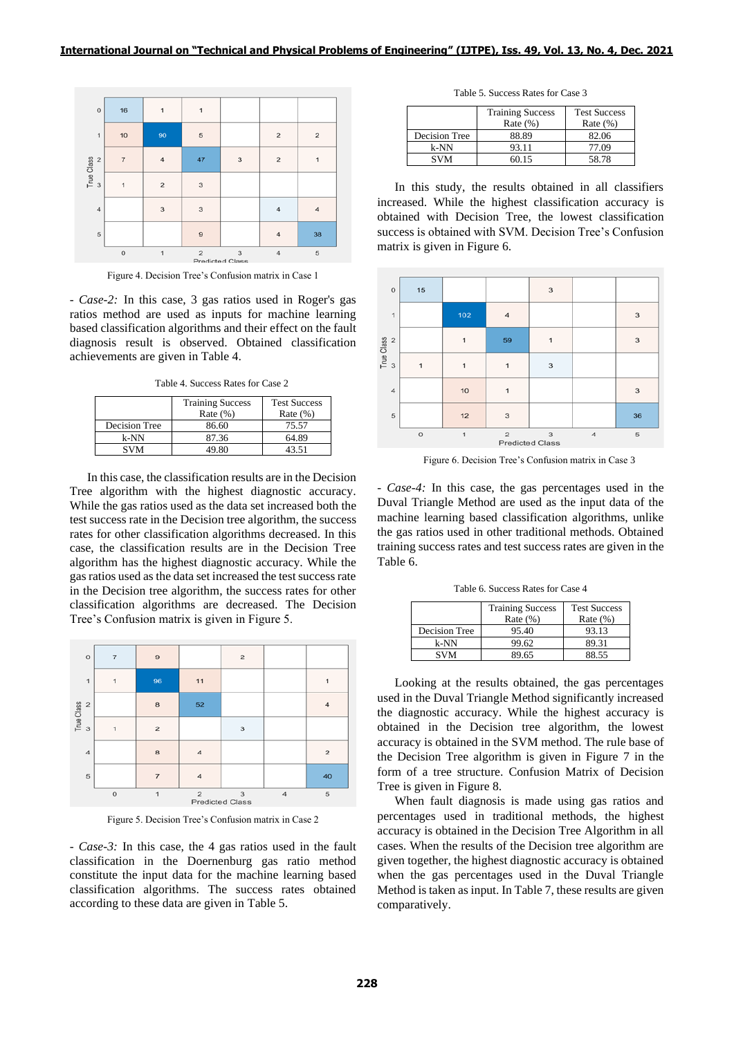

Figure 4. Decision Tree's Confusion matrix in Case 1

*- Case-2:* In this case, 3 gas ratios used in Roger's gas ratios method are used as inputs for machine learning based classification algorithms and their effect on the fault diagnosis result is observed. Obtained classification achievements are given in Table 4.

Table 4. Success Rates for Case 2

|               | <b>Training Success</b><br>Rate $(\%)$ | <b>Test Success</b><br>Rate $(\% )$ |
|---------------|----------------------------------------|-------------------------------------|
| Decision Tree | 86.60                                  | 75.57                               |
| k-NN          | 87.36                                  | 64.89                               |
| <b>SVM</b>    | 49.80                                  | 43.51                               |

In this case, the classification results are in the Decision Tree algorithm with the highest diagnostic accuracy. While the gas ratios used as the data set increased both the test success rate in the Decision tree algorithm, the success rates for other classification algorithms decreased. In this case, the classification results are in the Decision Tree algorithm has the highest diagnostic accuracy. While the gas ratios used as the data set increased the test success rate in the Decision tree algorithm, the success rates for other classification algorithms are decreased. The Decision Tree's Confusion matrix is given in Figure 5.



Figure 5. Decision Tree's Confusion matrix in Case 2

*- Case-3:* In this case, the 4 gas ratios used in the fault classification in the Doernenburg gas ratio method constitute the input data for the machine learning based classification algorithms. The success rates obtained according to these data are given in Table 5.

Table 5. Success Rates for Case 3

|               | <b>Training Success</b><br>Rate $(\%)$ | <b>Test Success</b><br>Rate $(\% )$ |
|---------------|----------------------------------------|-------------------------------------|
| Decision Tree | 88.89                                  | 82.06                               |
| k-NN          | 93.11                                  | 77.09                               |
| <b>SVM</b>    | 60.15                                  | 58.78                               |

In this study, the results obtained in all classifiers increased. While the highest classification accuracy is obtained with Decision Tree, the lowest classification success is obtained with SVM. Decision Tree's Confusion matrix is given in Figure 6.



Figure 6. Decision Tree's Confusion matrix in Case 3

*- Case-4:* In this case, the gas percentages used in the Duval Triangle Method are used as the input data of the machine learning based classification algorithms, unlike the gas ratios used in other traditional methods. Obtained training success rates and test success rates are given in the Table 6.

Table 6. Success Rates for Case 4

|               | <b>Training Success</b><br>Rate $(\%)$ | <b>Test Success</b><br>Rate $(\% )$ |
|---------------|----------------------------------------|-------------------------------------|
| Decision Tree | 95.40                                  | 93.13                               |
| k-NN          | 99.62                                  | 89.31                               |
| SVM           | 89.65                                  | 88.55                               |

Looking at the results obtained, the gas percentages used in the Duval Triangle Method significantly increased the diagnostic accuracy. While the highest accuracy is obtained in the Decision tree algorithm, the lowest accuracy is obtained in the SVM method. The rule base of the Decision Tree algorithm is given in Figure 7 in the form of a tree structure. Confusion Matrix of Decision Tree is given in Figure 8.

When fault diagnosis is made using gas ratios and percentages used in traditional methods, the highest accuracy is obtained in the Decision Tree Algorithm in all cases. When the results of the Decision tree algorithm are given together, the highest diagnostic accuracy is obtained when the gas percentages used in the Duval Triangle Method is taken as input. In Table 7, these results are given comparatively.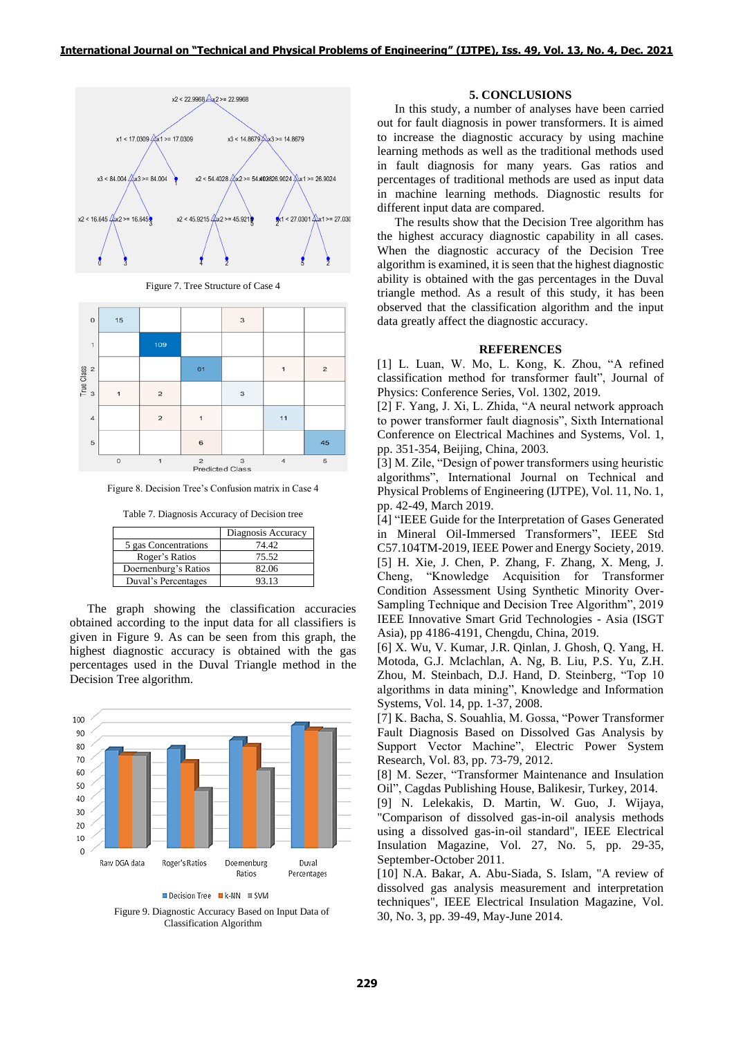

Figure 7. Tree Structure of Case 4



Figure 8. Decision Tree's Confusion matrix in Case 4

Table 7. Diagnosis Accuracy of Decision tree

|                      | Diagnosis Accuracy |
|----------------------|--------------------|
| 5 gas Concentrations | 74.42.             |
| Roger's Ratios       | 75.52              |
| Doernenburg's Ratios | 82.06              |
| Duval's Percentages  | 93.13              |

The graph showing the classification accuracies obtained according to the input data for all classifiers is given in Figure 9. As can be seen from this graph, the highest diagnostic accuracy is obtained with the gas percentages used in the Duval Triangle method in the Decision Tree algorithm.



Decision Tree **K-NN** SVM

Figure 9. Diagnostic Accuracy Based on Input Data of Classification Algorithm

# **5. CONCLUSIONS**

In this study, a number of analyses have been carried out for fault diagnosis in power transformers. It is aimed to increase the diagnostic accuracy by using machine learning methods as well as the traditional methods used in fault diagnosis for many years. Gas ratios and percentages of traditional methods are used as input data in machine learning methods. Diagnostic results for different input data are compared.

The results show that the Decision Tree algorithm has the highest accuracy diagnostic capability in all cases. When the diagnostic accuracy of the Decision Tree algorithm is examined, it is seen that the highest diagnostic ability is obtained with the gas percentages in the Duval triangle method. As a result of this study, it has been observed that the classification algorithm and the input data greatly affect the diagnostic accuracy.

#### **REFERENCES**

[1] L. Luan, W. Mo, L. Kong, K. Zhou, "A refined classification method for transformer fault", Journal of Physics: Conference Series, Vol. 1302, 2019.

[2] F. Yang, J. Xi, L. Zhida, "A neural network approach to power transformer fault diagnosis", Sixth International Conference on Electrical Machines and Systems, Vol. 1, pp. 351-354, Beijing, China, 2003.

[3] M. Zile, "Design of power transformers using heuristic algorithms", International Journal on Technical and Physical Problems of Engineering (IJTPE), Vol. 11, No. 1, pp. 42-49, March 2019.

[4] "IEEE Guide for the Interpretation of Gases Generated in Mineral Oil-Immersed Transformers", IEEE Std C57.104TM-2019, IEEE Power and Energy Society, 2019. [5] H. Xie, J. Chen, P. Zhang, F. Zhang, X. Meng, J. Cheng, "Knowledge Acquisition for Transformer Condition Assessment Using Synthetic Minority Over-Sampling Technique and Decision Tree Algorithm", 2019 IEEE Innovative Smart Grid Technologies - Asia (ISGT Asia), pp 4186-4191, Chengdu, China, 2019.

[6] X. Wu, V. Kumar, J.R. Qinlan, J. Ghosh, Q. Yang, H. Motoda, G.J. Mclachlan, A. Ng, B. Liu, P.S. Yu, Z.H. Zhou, M. Steinbach, D.J. Hand, D. Steinberg, "Top 10 algorithms in data mining", Knowledge and Information Systems, Vol. 14, pp. 1-37, 2008.

[7] K. Bacha, S. Souahlia, M. Gossa, "Power Transformer Fault Diagnosis Based on Dissolved Gas Analysis by Support Vector Machine", Electric Power System Research, Vol. 83, pp. 73-79, 2012.

[8] M. Sezer, "Transformer Maintenance and Insulation Oil", Cagdas Publishing House, Balikesir, Turkey, 2014.

[9] N. Lelekakis, D. Martin, W. Guo, J. Wijaya, "Comparison of dissolved gas-in-oil analysis methods using a dissolved gas-in-oil standard", IEEE Electrical Insulation Magazine, Vol. 27, No. 5, pp. 29-35, September-October 2011.

[10] N.A. Bakar, A. Abu-Siada, S. Islam, "A review of dissolved gas analysis measurement and interpretation techniques", IEEE Electrical Insulation Magazine, Vol. 30, No. 3, pp. 39-49, May-June 2014.